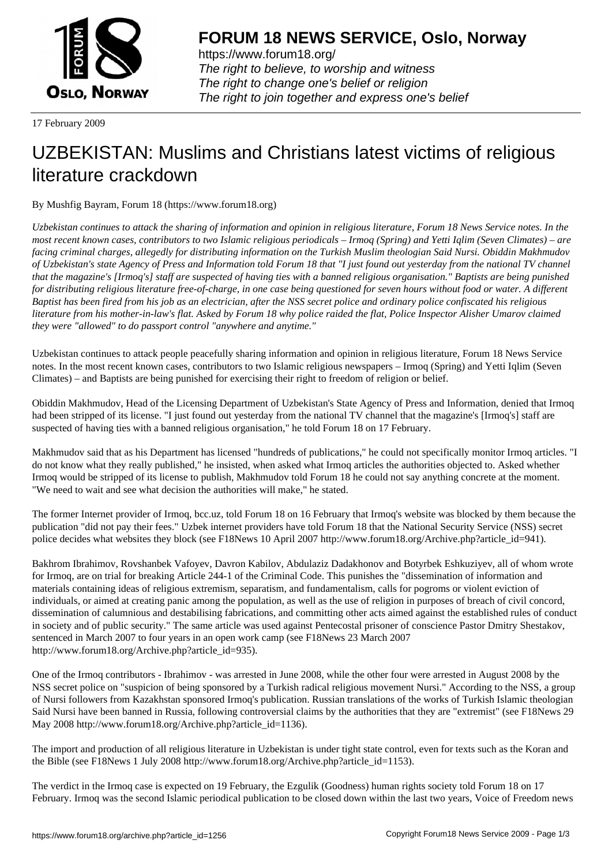

https://www.forum18.org/ The right to believe, to worship and witness The right to change one's belief or religion [The right to join together a](https://www.forum18.org/)nd express one's belief

17 February 2009

## [UZBEKISTAN:](https://www.forum18.org) Muslims and Christians latest victims of religious literature crackdown

By Mushfig Bayram, Forum 18 (https://www.forum18.org)

*Uzbekistan continues to attack the sharing of information and opinion in religious literature, Forum 18 News Service notes. In the most recent known cases, contributors to two Islamic religious periodicals – Irmoq (Spring) and Yetti Iqlim (Seven Climates) – are facing criminal charges, allegedly for distributing information on the Turkish Muslim theologian Said Nursi. Obiddin Makhmudov of Uzbekistan's state Agency of Press and Information told Forum 18 that "I just found out yesterday from the national TV channel that the magazine's [Irmoq's] staff are suspected of having ties with a banned religious organisation." Baptists are being punished for distributing religious literature free-of-charge, in one case being questioned for seven hours without food or water. A different Baptist has been fired from his job as an electrician, after the NSS secret police and ordinary police confiscated his religious literature from his mother-in-law's flat. Asked by Forum 18 why police raided the flat, Police Inspector Alisher Umarov claimed they were "allowed" to do passport control "anywhere and anytime."*

Uzbekistan continues to attack people peacefully sharing information and opinion in religious literature, Forum 18 News Service notes. In the most recent known cases, contributors to two Islamic religious newspapers – Irmoq (Spring) and Yetti Iqlim (Seven Climates) – and Baptists are being punished for exercising their right to freedom of religion or belief.

Obiddin Makhmudov, Head of the Licensing Department of Uzbekistan's State Agency of Press and Information, denied that Irmoq had been stripped of its license. "I just found out yesterday from the national TV channel that the magazine's [Irmoq's] staff are suspected of having ties with a banned religious organisation," he told Forum 18 on 17 February.

Makhmudov said that as his Department has licensed "hundreds of publications," he could not specifically monitor Irmoq articles. "I do not know what they really published," he insisted, when asked what Irmoq articles the authorities objected to. Asked whether Irmoq would be stripped of its license to publish, Makhmudov told Forum 18 he could not say anything concrete at the moment. "We need to wait and see what decision the authorities will make," he stated.

The former Internet provider of Irmoq, bcc.uz, told Forum 18 on 16 February that Irmoq's website was blocked by them because the publication "did not pay their fees." Uzbek internet providers have told Forum 18 that the National Security Service (NSS) secret police decides what websites they block (see F18News 10 April 2007 http://www.forum18.org/Archive.php?article\_id=941).

Bakhrom Ibrahimov, Rovshanbek Vafoyev, Davron Kabilov, Abdulaziz Dadakhonov and Botyrbek Eshkuziyev, all of whom wrote for Irmoq, are on trial for breaking Article 244-1 of the Criminal Code. This punishes the "dissemination of information and materials containing ideas of religious extremism, separatism, and fundamentalism, calls for pogroms or violent eviction of individuals, or aimed at creating panic among the population, as well as the use of religion in purposes of breach of civil concord, dissemination of calumnious and destabilising fabrications, and committing other acts aimed against the established rules of conduct in society and of public security." The same article was used against Pentecostal prisoner of conscience Pastor Dmitry Shestakov, sentenced in March 2007 to four years in an open work camp (see F18News 23 March 2007 http://www.forum18.org/Archive.php?article\_id=935).

One of the Irmoq contributors - Ibrahimov - was arrested in June 2008, while the other four were arrested in August 2008 by the NSS secret police on "suspicion of being sponsored by a Turkish radical religious movement Nursi." According to the NSS, a group of Nursi followers from Kazakhstan sponsored Irmoq's publication. Russian translations of the works of Turkish Islamic theologian Said Nursi have been banned in Russia, following controversial claims by the authorities that they are "extremist" (see F18News 29 May 2008 http://www.forum18.org/Archive.php?article\_id=1136).

The import and production of all religious literature in Uzbekistan is under tight state control, even for texts such as the Koran and the Bible (see F18News 1 July 2008 http://www.forum18.org/Archive.php?article\_id=1153).

The verdict in the Irmoq case is expected on 19 February, the Ezgulik (Goodness) human rights society told Forum 18 on 17 February. Irmoq was the second Islamic periodical publication to be closed down within the last two years, Voice of Freedom news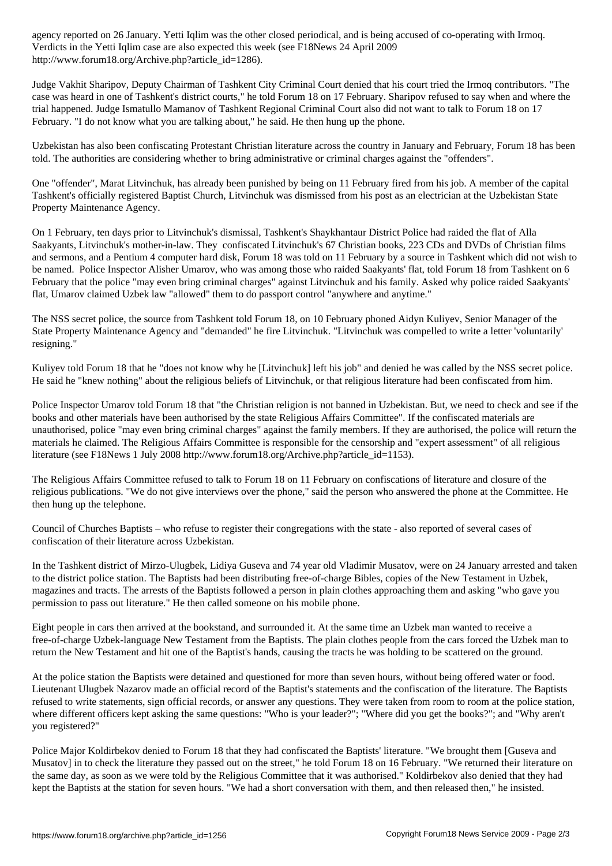$\mathcal{N}$  . The Yetti Iqlim case are also expected this week (see F18News 24 April 2009)  $\mathcal{N}$ http://www.forum18.org/Archive.php?article\_id=1286).

Judge Vakhit Sharipov, Deputy Chairman of Tashkent City Criminal Court denied that his court tried the Irmoq contributors. "The case was heard in one of Tashkent's district courts," he told Forum 18 on 17 February. Sharipov refused to say when and where the trial happened. Judge Ismatullo Mamanov of Tashkent Regional Criminal Court also did not want to talk to Forum 18 on 17 February. "I do not know what you are talking about," he said. He then hung up the phone.

Uzbekistan has also been confiscating Protestant Christian literature across the country in January and February, Forum 18 has been told. The authorities are considering whether to bring administrative or criminal charges against the "offenders".

One "offender", Marat Litvinchuk, has already been punished by being on 11 February fired from his job. A member of the capital Tashkent's officially registered Baptist Church, Litvinchuk was dismissed from his post as an electrician at the Uzbekistan State Property Maintenance Agency.

On 1 February, ten days prior to Litvinchuk's dismissal, Tashkent's Shaykhantaur District Police had raided the flat of Alla Saakyants, Litvinchuk's mother-in-law. They confiscated Litvinchuk's 67 Christian books, 223 CDs and DVDs of Christian films and sermons, and a Pentium 4 computer hard disk, Forum 18 was told on 11 February by a source in Tashkent which did not wish to be named. Police Inspector Alisher Umarov, who was among those who raided Saakyants' flat, told Forum 18 from Tashkent on 6 February that the police "may even bring criminal charges" against Litvinchuk and his family. Asked why police raided Saakyants' flat, Umarov claimed Uzbek law "allowed" them to do passport control "anywhere and anytime."

The NSS secret police, the source from Tashkent told Forum 18, on 10 February phoned Aidyn Kuliyev, Senior Manager of the State Property Maintenance Agency and "demanded" he fire Litvinchuk. "Litvinchuk was compelled to write a letter 'voluntarily' resigning."

Kuliyev told Forum 18 that he "does not know why he [Litvinchuk] left his job" and denied he was called by the NSS secret police. He said he "knew nothing" about the religious beliefs of Litvinchuk, or that religious literature had been confiscated from him.

Police Inspector Umarov told Forum 18 that "the Christian religion is not banned in Uzbekistan. But, we need to check and see if the books and other materials have been authorised by the state Religious Affairs Committee". If the confiscated materials are unauthorised, police "may even bring criminal charges" against the family members. If they are authorised, the police will return the materials he claimed. The Religious Affairs Committee is responsible for the censorship and "expert assessment" of all religious literature (see F18News 1 July 2008 http://www.forum18.org/Archive.php?article\_id=1153).

The Religious Affairs Committee refused to talk to Forum 18 on 11 February on confiscations of literature and closure of the religious publications. "We do not give interviews over the phone," said the person who answered the phone at the Committee. He then hung up the telephone.

Council of Churches Baptists – who refuse to register their congregations with the state - also reported of several cases of confiscation of their literature across Uzbekistan.

In the Tashkent district of Mirzo-Ulugbek, Lidiya Guseva and 74 year old Vladimir Musatov, were on 24 January arrested and taken to the district police station. The Baptists had been distributing free-of-charge Bibles, copies of the New Testament in Uzbek, magazines and tracts. The arrests of the Baptists followed a person in plain clothes approaching them and asking "who gave you permission to pass out literature." He then called someone on his mobile phone.

Eight people in cars then arrived at the bookstand, and surrounded it. At the same time an Uzbek man wanted to receive a free-of-charge Uzbek-language New Testament from the Baptists. The plain clothes people from the cars forced the Uzbek man to return the New Testament and hit one of the Baptist's hands, causing the tracts he was holding to be scattered on the ground.

At the police station the Baptists were detained and questioned for more than seven hours, without being offered water or food. Lieutenant Ulugbek Nazarov made an official record of the Baptist's statements and the confiscation of the literature. The Baptists refused to write statements, sign official records, or answer any questions. They were taken from room to room at the police station, where different officers kept asking the same questions: "Who is your leader?"; "Where did you get the books?"; and "Why aren't you registered?"

Police Major Koldirbekov denied to Forum 18 that they had confiscated the Baptists' literature. "We brought them [Guseva and Musatov] in to check the literature they passed out on the street," he told Forum 18 on 16 February. "We returned their literature on the same day, as soon as we were told by the Religious Committee that it was authorised." Koldirbekov also denied that they had kept the Baptists at the station for seven hours. "We had a short conversation with them, and then released then," he insisted.